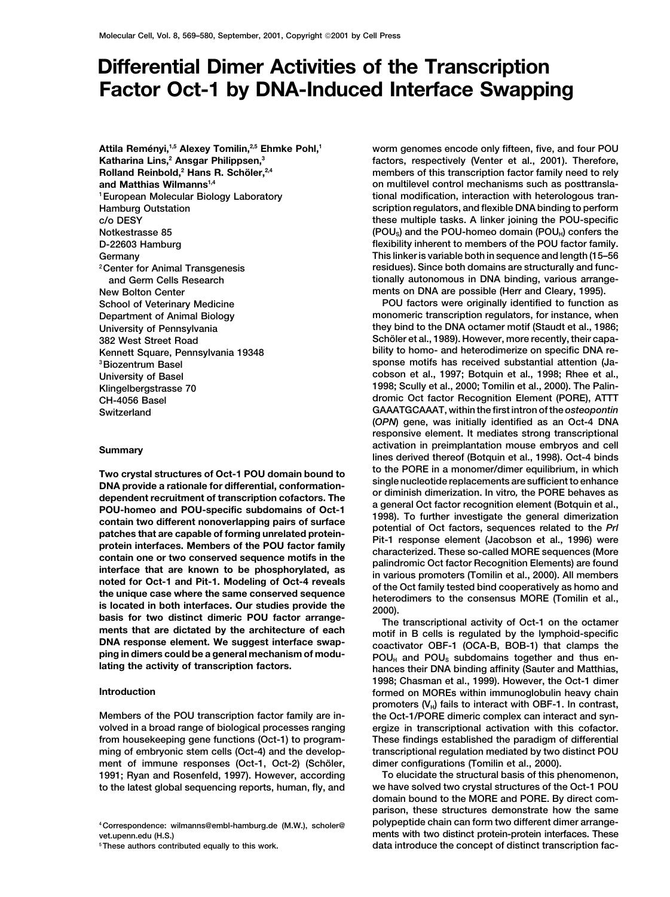## **Differential Dimer Activities of the Transcription Factor Oct-1 by DNA-Induced Interface Swapping**

Attila Reményi,<sup>1,5</sup> Alexey Tomilin,<sup>2,5</sup> Ehmke Pohl,<sup>1</sup> **Katharina Lins,2 Ansgar Philippsen,3 Rolland Reinbold,<sup>2</sup> Hans R. Schöler,<sup>2,4</sup>** 

Two crystal structures of Oct-1 POU domain bound to<br>
DNA provide a rational for differential, conformation-<br>
DNA provide a rational for differential, conformation-<br>
differential, contains of Oct-1<br>
POU-specific subdomains

ment of immune responses (Oct-1, Oct-2) (Schöler, dimer configurations (Tomilin et al., 2000).<br>1991: Ryan and Rosenfeld, 1997). However, according To elucidate the structural basis of this phenomenon, **1991; Ryan and Rosenfeld, 1997). However, according** 

**worm genomes encode only fifteen, five, and four POU factors, respectively (Venter et al., 2001). Therefore, members of this transcription factor family need to rely and Matthias Wilmanns**<sup>1,4</sup> **on multilevel control mechanisms such as posttranslational modification, interaction with heterologous tran- 1European Molecular Biology Laboratory Hamburg Outstation scription regulators, and flexible DNA binding to perform c/o DESY these multiple tasks. A linker joining the POU-specific Notkestrasse 85 1998 (POU<sub>S</sub>) and the POU-homeo domain (POU<sub>i</sub>) confers the D-22603 Hamburg flexibility inherent to members of the POU factor family. Germany This linker is variable both in sequence and length (15–56 residues). Since both domains are structurally and func- 2Center for Animal Transgenesis and Germ Cells Research tionally autonomous in DNA binding, various arrange-New Bolton Center ments on DNA are possible (Herr and Cleary, 1995).**

**School of Veterinary Medicine POU factors were originally identified to function as Department of Animal Biology monomeric transcription regulators, for instance, when University of Pennsylvania they bind to the DNA octamer motif (Staudt et al., 1986; 382 West Street Road Schöler et al., 1989). However, more recently, their capa-Kennett Square, Pennsylvania 19348 bility to homo- and heterodimerize on specific DNA re-3Biozentrum Basel sponse motifs has received substantial attention (Ja-University of Basel cobson et al., 1997; Botquin et al., 1998; Rhee et al., Klingelbergstrasse 70 1998; Scully et al., 2000; Tomilin et al., 2000). The Palin-CH-4056 Basel dromic Oct factor Recognition Element (PORE), ATTT Switzerland GAAATGCAAAT, within the first intron of the** *osteopontin* **(***OPN***) gene, was initially identified as an Oct-4 DNA responsive element. It mediates strong transcriptional activation in preimplantation mouse embryos and cell Summary lines derived thereof (Botquin et al., 1998). Oct-4 binds**

**1998; Chasman et al., 1999). However, the Oct-1 dimer Introduction formed on MOREs within immunoglobulin heavy chain** promoters (V<sub>H</sub>) fails to interact with OBF-1. In contrast, **Members of the POU transcription factor family are in- the Oct-1/PORE dimeric complex can interact and synvolved in a broad range of biological processes ranging ergize in transcriptional activation with this cofactor. from housekeeping gene functions (Oct-1) to program- These findings established the paradigm of differential ming of embryonic stem cells (Oct-4) and the develop- transcriptional regulation mediated by two distinct POU**

**to the latest global sequencing reports, human, fly, and we have solved two crystal structures of the Oct-1 POU domain bound to the MORE and PORE. By direct comparison, these structures demonstrate how the same <sup>4</sup> polypeptide chain can form two different dimer arrange- Correspondence: wilmanns@embl-hamburg.de (M.W.), scholer@** vet.upenn.edu (H.S.)<br> **hereauthors contributed equally to this work.** These authors contributed equally to this work.<br> **data introduce the concept of distinct transcription fac-5These authors contributed equally to this work. data introduce the concept of distinct transcription fac-**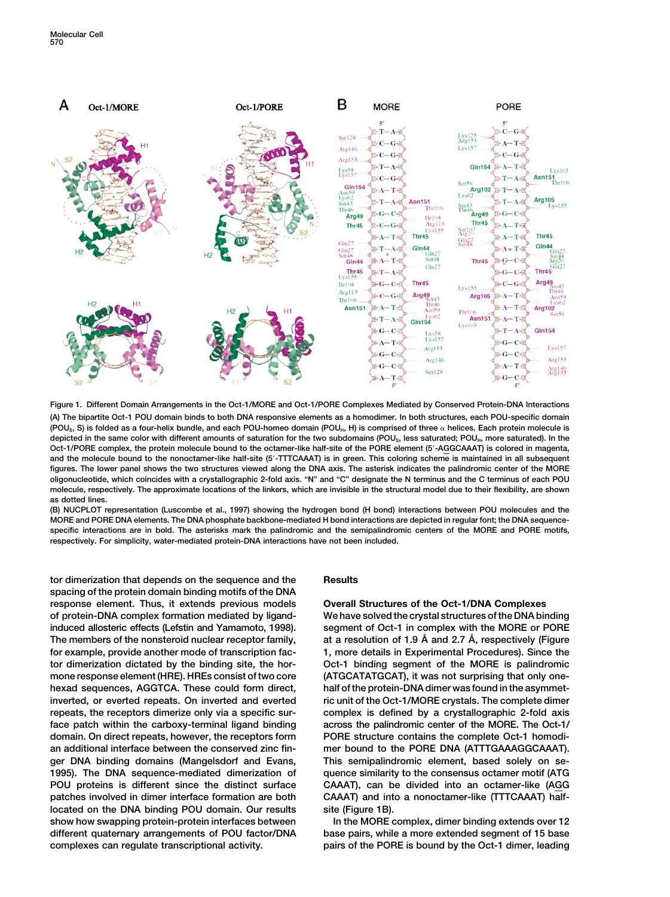

**Figure 1. Different Domain Arrangements in the Oct-1/MORE and Oct-1/PORE Complexes Mediated by Conserved Protein-DNA Interactions (A) The bipartite Oct-1 POU domain binds to both DNA responsive elements as a homodimer. In both structures, each POU-specific domain (POUS, S) is folded as a four-helix bundle, and each POU-homeo domain (POUH, H) is comprised of three helices. Each protein molecule is** depicted in the same color with different amounts of saturation for the two subdomains (POU<sub>S</sub>, less saturated; POU<sub>H</sub>, more saturated). In the **Oct-1/PORE complex, the protein molecule bound to the octamer-like half-site of the PORE element (5**-**-AGGCAAAT) is colored in magenta, and the molecule bound to the nonoctamer-like half-site (5**-**-TTTCAAAT) is in green. This coloring scheme is maintained in all subsequent figures. The lower panel shows the two structures viewed along the DNA axis. The asterisk indicates the palindromic center of the MORE oligonucleotide, which coincides with a crystallographic 2-fold axis. "N" and "C" designate the N terminus and the C terminus of each POU molecule, respectively. The approximate locations of the linkers, which are invisible in the structural model due to their flexibility, are shown as dotted lines.**

**(B) NUCPLOT representation (Luscombe et al., 1997) showing the hydrogen bond (H bond) interactions between POU molecules and the MORE and PORE DNA elements. The DNA phosphate backbone-mediated H bond interactions are depicted in regular font; the DNA sequencespecific interactions are in bold. The asterisks mark the palindromic and the semipalindromic centers of the MORE and PORE motifs, respectively. For simplicity, water-mediated protein-DNA interactions have not been included.**

**tor dimerization that depends on the sequence and the Results spacing of the protein domain binding motifs of the DNA response element. Thus, it extends previous models Overall Structures of the Oct-1/DNA Complexes of protein-DNA complex formation mediated by ligand- We have solved the crystal structures of the DNA binding induced allosteric effects (Lefstin and Yamamoto, 1998). segment of Oct-1 in complex with the MORE or PORE at a resolution of 1.9 A˚ and 2.7 A˚ The members of the nonsteroid nuclear receptor family, , respectively (Figure for example, provide another mode of transcription fac- 1, more details in Experimental Procedures). Since the tor dimerization dictated by the binding site, the hor- Oct-1 binding segment of the MORE is palindromic mone response element (HRE). HREs consist of two core (ATGCATATGCAT), it was not surprising that only onehexad sequences, AGGTCA. These could form direct, half of the protein-DNA dimer was found in the asymmetinverted, or everted repeats. On inverted and everted ric unit of the Oct-1/MORE crystals. The complete dimer repeats, the receptors dimerize only via a specific sur- complex is defined by a crystallographic 2-fold axis face patch within the carboxy-terminal ligand binding across the palindromic center of the MORE. The Oct-1/ domain. On direct repeats, however, the receptors form PORE structure contains the complete Oct-1 homodian additional interface between the conserved zinc fin- mer bound to the PORE DNA (ATTTGAAAGGCAAAT). ger DNA binding domains (Mangelsdorf and Evans, This semipalindromic element, based solely on se-1995). The DNA sequence-mediated dimerization of quence similarity to the consensus octamer motif (ATG POU proteins is different since the distinct surface CAAAT), can be divided into an octamer-like (AGG patches involved in dimer interface formation are both CAAAT) and into a nonoctamer-like (TTTCAAAT) halflocated on the DNA binding POU domain. Our results site (Figure 1B).** show how swapping protein-protein interfaces between **In the MORE complex, dimer binding extends over 12 different quaternary arrangements of POU factor/DNA base pairs, while a more extended segment of 15 base complexes can regulate transcriptional activity. pairs of the PORE is bound by the Oct-1 dimer, leading**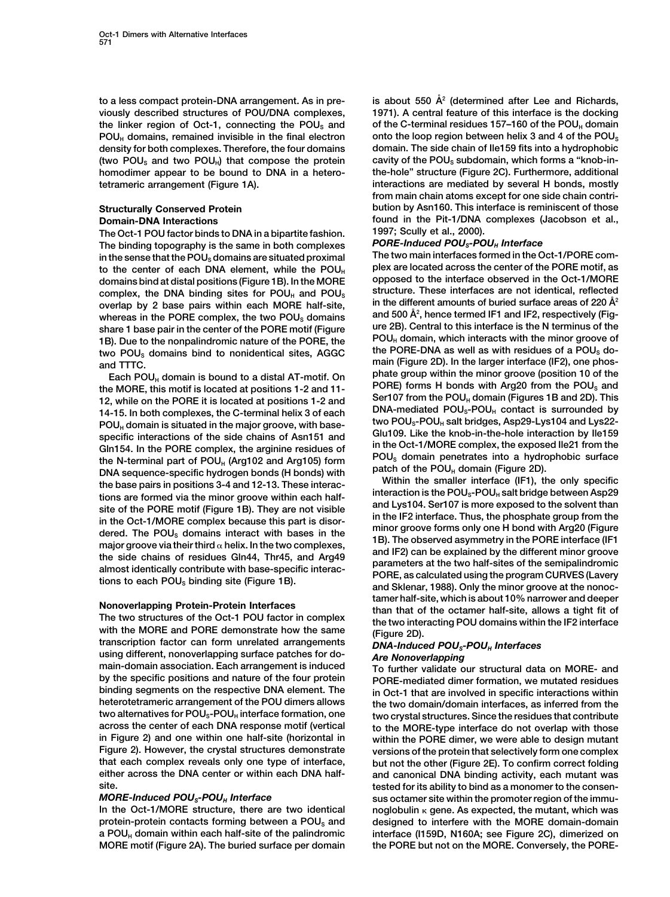**to a less compact protein-DNA arrangement. As in pre- is about 550 A˚ <sup>2</sup> (determined after Lee and Richards, viously described structures of POU/DNA complexes, 1971). A central feature of this interface is the docking** the linker region of Oct-1, connecting the POU<sub>S</sub> and of the C-terminal residues 157–160 of the POU<sub>H</sub> domain **POUH domains, remained invisible in the final electron onto the loop region between helix 3 and 4 of the POUS density for both complexes. Therefore, the four domains domain. The side chain of Ile159 fits into a hydrophobic** (two POU<sub>s</sub> and two POU<sub>H</sub>) that compose the protein cavity of the POU<sub>s</sub> subdomain, which forms a "knob-in**homodimer appear to be bound to DNA in a hetero- the-hole" structure (Figure 2C). Furthermore, additional tetrameric arrangement (Figure 1A). interactions are mediated by several H bonds, mostly**

**The Oct-1 POU factor binds to DNA in a bipartite fashion. 1997; Scully et al., 2000).** The binding topography is the same in both complexes in the sense that the POU<sub>S</sub> domains are situated proximal The two main interfaces formed in the Oct-1/PORE comto the center of each DNA element, while the  $POU<sub>H</sub>$  plex are located across the center of the PORE motif, as domains bind at distal positions (Figure 1B) In the MORE opposed to the interface observed in the Oct-1/MORE **domains bind at distal positions (Figure 1B). In the MORE opposed to the interface observed in the Oct-1/MORE complex, the DNA binding sites for POU<sub>H</sub> and POU<sub>S</sub> overlap by 2 base pairs within each MORE half-site,** whereas in the PORE complex, the two POU<sub>s</sub> domains and 500 A<sup>2</sup>, hence termed IF1 and IF2, respectively (Fig-<br>**Share 1 hase pair in the center of the PORE motif (Figure** ure 2B). Central to this interface is the N terminu share 1 base pair in the center of the PORE motif (Figure and Music Central to this interface is the N terminus of the 1B). Due to the nonpalindromic nature of the PORE, the  $POL_H$  domain, which interacts with the minor gr **main (Figure 2D). In the larger interface (IF2), one phos- and TTTC.**

the MORE, this motif is located at positions 1-2 and 11-<br>
12. while on the POU<sub>6</sub>, this on the POU<sub>6</sub>, and 14.<br>
12. while on the POU<sub>6</sub>, domain is situated in the major groove, with base-<br>
14-15. In both complexes, the C-

**using different, nonoverlapping surface patches for do-** *Are Nonoverlapping* **main-domain association. Each arrangement is induced To further validate our structural data on MORE- and by the specific positions and nature of the four protein PORE-mediated dimer formation, we mutated residues binding segments on the respective DNA element. The in Oct-1 that are involved in specific interactions within heterotetrameric arrangement of the POU dimers allows the two domain/domain interfaces, as inferred from the** two alternatives for POU<sub>S</sub>-POU<sub>H</sub> interface formation, one two crystal structures. Since the residues that contribute across the center of each DNA response motif (vertical the MORF-type interface do not overlap with thos **across the center of each DNA response motif (vertical to the MORE-type interface do not overlap with those in Figure 2) and one within one half-site (horizontal in within the PORE dimer, we were able to design mutant that each complex reveals only one type of interface, but not the other (Figure 2E). To confirm correct folding either across the DNA center or within each DNA half- and canonical DNA binding activity, each mutant was**

**In the Oct-1/MORE structure, there are two identical noglobulin gene. As expected, the mutant, which was protein-protein contacts forming between a POUS and designed to interfere with the MORE domain-domain a POUH domain within each half-site of the palindromic interface (I159D, N160A; see Figure 2C), dimerized on MORE motif (Figure 2A). The buried surface per domain the PORE but not on the MORE. Conversely, the PORE-**

**from main chain atoms except for one side chain contri-Structurally Conserved Protein bution by Asn160. This interface is reminiscent of those Domain-DNA Interactions found in the Pit-1/DNA complexes (Jacobson et al.,**

**in the different amounts of buried surface areas of 220 A˚ <sup>2</sup>** and 500 Å<sup>2</sup>, hence termed IF1 and IF2, respectively (Fig-**Phate group within the minor groove (position 10 of the** Each POU<sub>H</sub> domain is bound to a distal AT-motif. On Figure 2010 within the minor groove (position 10 of the and the POU<sub>S</sub> and the POU<sub>S</sub> and

Nonoverlapping Protein-Protein Interfaces<br>
The two structures of the Oct-1 POU factor in complex<br>
with the MORE and PORE demonstrate how the same<br>
transcription factor can form unrelated arrangements<br>
transcription factor

**Figure 2). However, the crystal structures demonstrate versions of the protein that selectively form one complex** site.<br>**MORE-Induced POU<sub>s</sub>-POU<sub>H</sub> Interface the consense to the consensus octamer site within the promoter region of the immu**sus octamer site within the promoter region of the immu-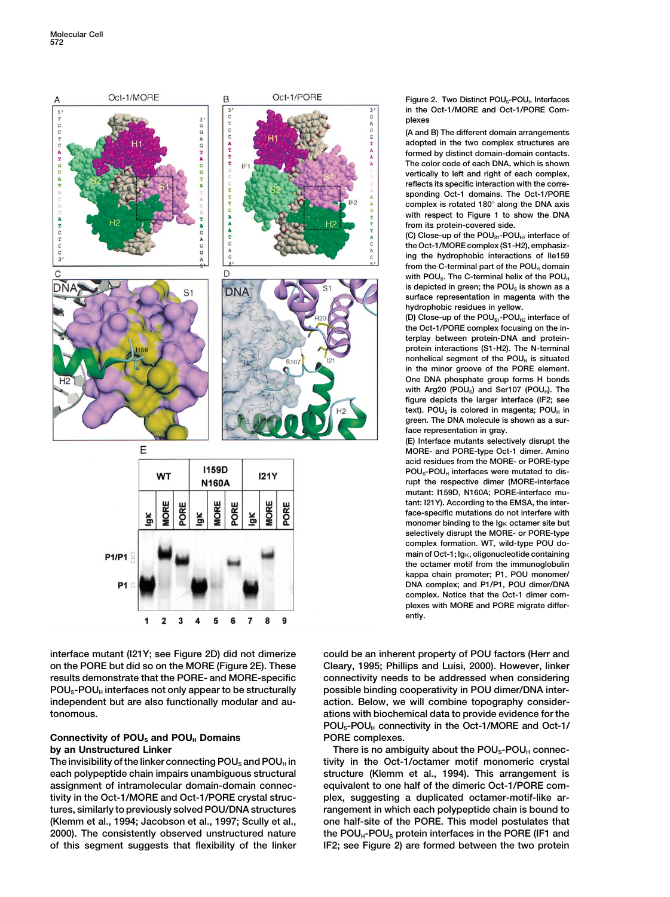

**on the PORE but did so on the MORE (Figure 2E). These Cleary, 1995; Phillips and Luisi, 2000). However, linker** results demonstrate that the PORE- and MORE-specific connectivity needs to be addressed when considering **POUS-POUH interfaces not only appear to be structurally possible binding cooperativity in POU dimer/DNA interindependent but are also functionally modular and au- action. Below, we will combine topography considertonomous. ations with biochemical data to provide evidence for the**

# **Connectivity of POUS and POUH Domains PORE complexes.**

**each polypeptide chain impairs unambiguous structural structure (Klemm et al., 1994). This arrangement is assignment of intramolecular domain-domain connec- equivalent to one half of the dimeric Oct-1/PORE comtivity in the Oct-1/MORE and Oct-1/PORE crystal struc- plex, suggesting a duplicated octamer-motif-like artures, similarly to previously solved POU/DNA structures rangement in which each polypeptide chain is bound to (Klemm et al., 1994; Jacobson et al., 1997; Scully et al., one half-site of the PORE. This model postulates that** 2000). The consistently observed unstructured nature the POU<sub>H</sub>-POU<sub>S</sub> protein interfaces in the PORE (IF1 and **of this segment suggests that flexibility of the linker IF2; see Figure 2) are formed between the two protein**

**Figure 2. Two Distinct POUS-POUH Interfaces in the Oct-1/MORE and Oct-1/PORE Complexes**

**(A and B) The different domain arrangements adopted in the two complex structures are formed by distinct domain-domain contacts. The color code of each DNA, which is shown vertically to left and right of each complex, reflects its specific interaction with the corresponding Oct-1 domains. The Oct-1/PORE complex is rotated 180 along the DNA axis with respect to Figure 1 to show the DNA from its protein-covered side.**

**(C) Close-up of the POUS1-POUH2 interface of the Oct-1/MORE complex (S1-H2), emphasizing the hydrophobic interactions of Ile159** from the C-terminal part of the POU<sub>H</sub> domain with POU<sub>S</sub>. The C-terminal helix of the POU<sub>H</sub> is depicted in green; the POU<sub>s</sub> is shown as a **surface representation in magenta with the hydrophobic residues in yellow.**

**(D) Close-up of the POUS1-POUH2 interface of the Oct-1/PORE complex focusing on the interplay between protein-DNA and proteinprotein interactions (S1-H2). The N-terminal nonhelical segment of the POU<sub>H</sub> is situated in the minor groove of the PORE element. One DNA phosphate group forms H bonds** with Arg20 (POU<sub>s</sub>) and Ser107 (POU<sub>H</sub>). The **figure depicts the larger interface (IF2; see** text). POU<sub>s</sub> is colored in magenta; POU<sub>H</sub> in **green. The DNA molecule is shown as a surface representation in gray.**

**(E) Interface mutants selectively disrupt the MORE- and PORE-type Oct-1 dimer. Amino acid residues from the MORE- or PORE-type** POU<sub>S</sub>-POU<sub>H</sub> interfaces were mutated to dis**rupt the respective dimer (MORE-interface mutant: I159D, N160A; PORE-interface mutant: I21Y). According to the EMSA, the interface-specific mutations do not interfere with** monomer binding to the Ig<sub>K</sub> octamer site but **selectively disrupt the MORE- or PORE-type complex formation. WT, wild-type POU domain of Oct-1; Ig, oligonucleotide containing the octamer motif from the immunoglobulin kappa chain promoter; P1, POU monomer/ DNA complex; and P1/P1, POU dimer/DNA complex. Notice that the Oct-1 dimer complexes with MORE and PORE migrate differently.**

**interface mutant (I21Y; see Figure 2D) did not dimerize could be an inherent property of POU factors (Herr and POUS-POUH connectivity in the Oct-1/MORE and Oct-1/**

**by an Unstructured Linker There is no ambiguity about the POU<sub>s</sub>-POU<sub>H</sub> connec-**The invisibility of the linker connecting POU<sub>S</sub> and POU<sub>H</sub> in tivity in the Oct-1/octamer motif monomeric crystal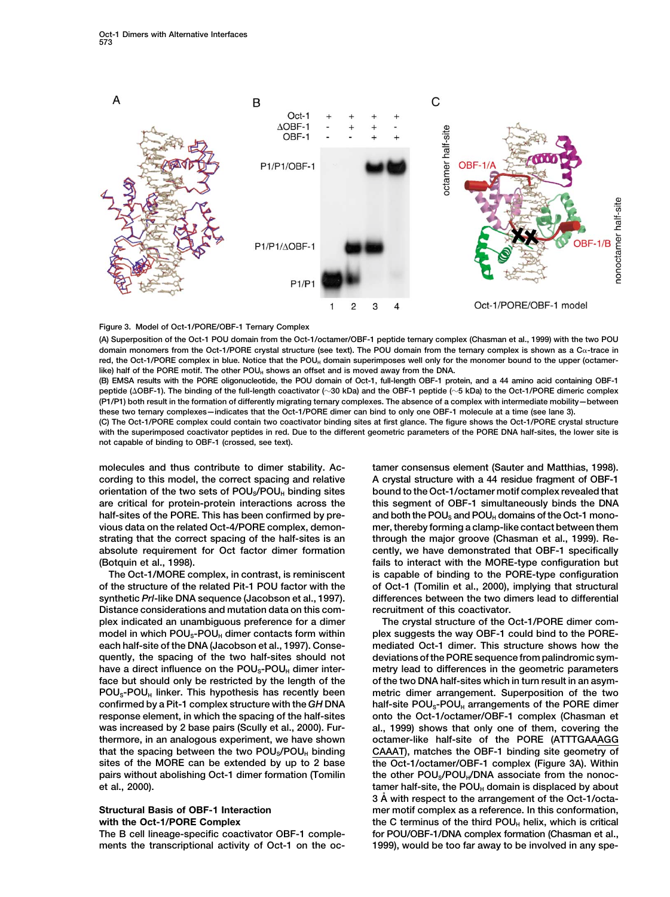

## **Figure 3. Model of Oct-1/PORE/OBF-1 Ternary Complex**

**(A) Superposition of the Oct-1 POU domain from the Oct-1/octamer/OBF-1 peptide ternary complex (Chasman et al., 1999) with the two POU domain monomers from the Oct-1/PORE crystal structure (see text). The POU domain from the ternary complex is shown as a C-trace in** red, the Oct-1/PORE complex in blue. Notice that the POU<sub>H</sub> domain superimposes well only for the monomer bound to the upper (octamerlike) half of the PORE motif. The other POU<sub>H</sub> shows an offset and is moved away from the DNA.

**(B) EMSA results with the PORE oligonucleotide, the POU domain of Oct-1, full-length OBF-1 protein, and a 44 amino acid containing OBF-1 peptide (OBF-1). The binding of the full-length coactivator (30 kDa) and the OBF-1 peptide (5 kDa) to the Oct-1/PORE dimeric complex (P1/P1) both result in the formation of differently migrating ternary complexes. The absence of a complex with intermediate mobility—between these two ternary complexes—indicates that the Oct-1/PORE dimer can bind to only one OBF-1 molecule at a time (see lane 3).**

**(C) The Oct-1/PORE complex could contain two coactivator binding sites at first glance. The figure shows the Oct-1/PORE crystal structure with the superimposed coactivator peptides in red. Due to the different geometric parameters of the PORE DNA half-sites, the lower site is not capable of binding to OBF-1 (crossed, see text).**

**Distance considerations and mutation data on this com- recruitment of this coactivator. plex indicated an unambiguous preference for a dimer The crystal structure of the Oct-1/PORE dimer com**model in which POU<sub>S</sub>-POU<sub>H</sub> dimer contacts form within plex suggests the way OBF-1 could bind to the PORE**each half-site of the DNA (Jacobson et al., 1997). Conse- mediated Oct-1 dimer. This structure shows how the quently, the spacing of the two half-sites should not deviations of the PORE sequence from palindromic sym**have a direct influence on the POU<sub>S</sub>-POU<sub>H</sub> dimer inter-<br>metry lead to differences in the geometric parameters **face but should only be restricted by the length of the of the two DNA half-sites which in turn result in an asym-POUS-POUH linker. This hypothesis has recently been metric dimer arrangement. Superposition of the two confirmed by a Pit-1 complex structure with the** *GH* **DNA half-site POUS-POUH arrangements of the PORE dimer response element, in which the spacing of the half-sites onto the Oct-1/octamer/OBF-1 complex (Chasman et was increased by 2 base pairs (Scully et al., 2000). Fur- al., 1999) shows that only one of them, covering the thermore, in an analogous experiment, we have shown octamer-like half-site of the PORE (ATTTGAAAGG** that the spacing between the two POU<sub>S</sub>/POU<sub>H</sub> binding CAAAT), matches the OBF-1 binding site geometry of **sites of the MORE can be extended by up to 2 base the Oct-1/octamer/OBF-1 complex (Figure 3A). Within** pairs without abolishing Oct-1 dimer formation (Tomilin the other POU<sub>s</sub>/POU<sub>H</sub>/DNA associate from the nonoc-

**The B cell lineage-specific coactivator OBF-1 comple- for POU/OBF-1/DNA complex formation (Chasman et al., ments the transcriptional activity of Oct-1 on the oc- 1999), would be too far away to be involved in any spe-**

**molecules and thus contribute to dimer stability. Ac- tamer consensus element (Sauter and Matthias, 1998). cording to this model, the correct spacing and relative A crystal structure with a 44 residue fragment of OBF-1 orientation of the two sets of POUS/POUH binding sites bound to the Oct-1/octamer motif complex revealed that are critical for protein-protein interactions across the this segment of OBF-1 simultaneously binds the DNA** half-sites of the PORE. This has been confirmed by pre- and both the POU<sub>S</sub> and POU<sub>H</sub> domains of the Oct-1 mono**vious data on the related Oct-4/PORE complex, demon- mer, thereby forming a clamp-like contact between them strating that the correct spacing of the half-sites is an through the major groove (Chasman et al., 1999). Reabsolute requirement for Oct factor dimer formation cently, we have demonstrated that OBF-1 specifically (Botquin et al., 1998).** *Botquin et al., 1998 Botquin et al., 1998 Botquin et al., 1998.* **The Oct-1/MORE complex, in contrast, is reminiscent is capable of binding to the PORE-type configuration of the structure of the related Pit-1 POU factor with the of Oct-1 (Tomilin et al., 2000), implying that structural synthetic** *Prl***-like DNA sequence (Jacobson et al., 1997). differences between the two dimers lead to differential**

**et al., 2000). tamer half-site, the POU<sub>H</sub> domain is displaced by about the ROU**H **3 A˚ with respect to the arrangement of the Oct-1/octa-Structural Basis of OBF-1 Interaction mer motif complex as a reference. In this conformation, with the Oct-1/PORE Complex the C terminus of the third POU<sub>H</sub> helix, which is critical**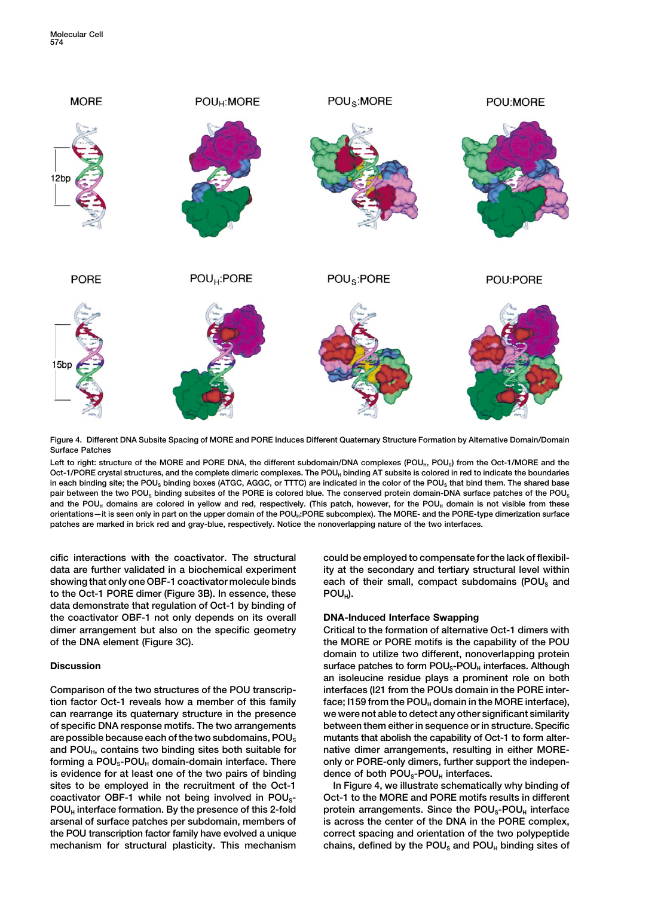

**Figure 4. Different DNA Subsite Spacing of MORE and PORE Induces Different Quaternary Structure Formation by Alternative Domain/Domain Surface Patches**

Left to right: structure of the MORE and PORE DNA, the different subdomain/DNA complexes (POU<sub>H</sub>, POU<sub>S</sub>) from the Oct-1/MORE and the **Oct-1/PORE crystal structures, and the complete dimeric complexes. The POUH binding AT subsite is colored in red to indicate the boundaries** in each binding site; the POU<sub>S</sub> binding boxes (ATGC, AGGC, or TTTC) are indicated in the color of the POU<sub>S</sub> that bind them. The shared base **pair between the two POUS binding subsites of the PORE is colored blue. The conserved protein domain-DNA surface patches of the POUS** and the POU<sub>H</sub> domains are colored in yellow and red, respectively. (This patch, however, for the POU<sub>H</sub> domain is not visible from these orientations—it is seen only in part on the upper domain of the POU<sub>H</sub>:PORE subcomplex). The MORE- and the PORE-type dimerization surface **patches are marked in brick red and gray-blue, respectively. Notice the nonoverlapping nature of the two interfaces.**

**data are further validated in a biochemical experiment ity at the secondary and tertiary structural level within showing that only one OBF-1 coactivator molecule binds each of their small, compact subdomains (POUS and** to the Oct-1 PORE dimer (Figure 3B). In essence, these POU<sub>H</sub>). **data demonstrate that regulation of Oct-1 by binding of the coactivator OBF-1 not only depends on its overall DNA-Induced Interface Swapping dimer arrangement but also on the specific geometry Critical to the formation of alternative Oct-1 dimers with**

**Comparison of the two structures of the POU transcrip- interfaces (I21 from the POUs domain in the PORE intertion factor Oct-1 reveals how a member of this family face; I159 from the POUH domain in the MORE interface), can rearrange its quaternary structure in the presence we were not able to detect any other significant similarity of specific DNA response motifs. The two arrangements between them either in sequence or in structure. Specific are possible because each of the two subdomains, POUS mutants that abolish the capability of Oct-1 to form alter**and POU<sub>H</sub>, contains two binding sites both suitable for native dimer arrangements, resulting in either MOREforming a POU<sub>S</sub>-POU<sub>H</sub> domain-domain interface. There only or PORE-only dimers, further support the indepenis evidence for at least one of the two pairs of binding dence of both POU<sub>S</sub>-POU<sub>H</sub> interfaces. **sites to be employed in the recruitment of the Oct-1 In Figure 4, we illustrate schematically why binding of** coactivator OBF-1 while not being involved in POU<sub>S</sub>- Oct-1 to the MORE and PORE motifs results in different **POUH interface formation. By the presence of this 2-fold protein arrangements. Since the POUS-POUH interface arsenal of surface patches per subdomain, members of is across the center of the DNA in the PORE complex, the POU transcription factor family have evolved a unique correct spacing and orientation of the two polypeptide** mechanism for structural plasticity. This mechanism chains, defined by the POU<sub>s</sub> and POU<sub>H</sub> binding sites of

**cific interactions with the coactivator. The structural could be employed to compensate for the lack of flexibil-**

**of the DNA element (Figure 3C). the MORE or PORE motifs is the capability of the POU domain to utilize two different, nonoverlapping protein Discussion Surface patches to form POU<sub>S</sub>-POU<sub>H</sub> interfaces. Although an isoleucine residue plays a prominent role on both**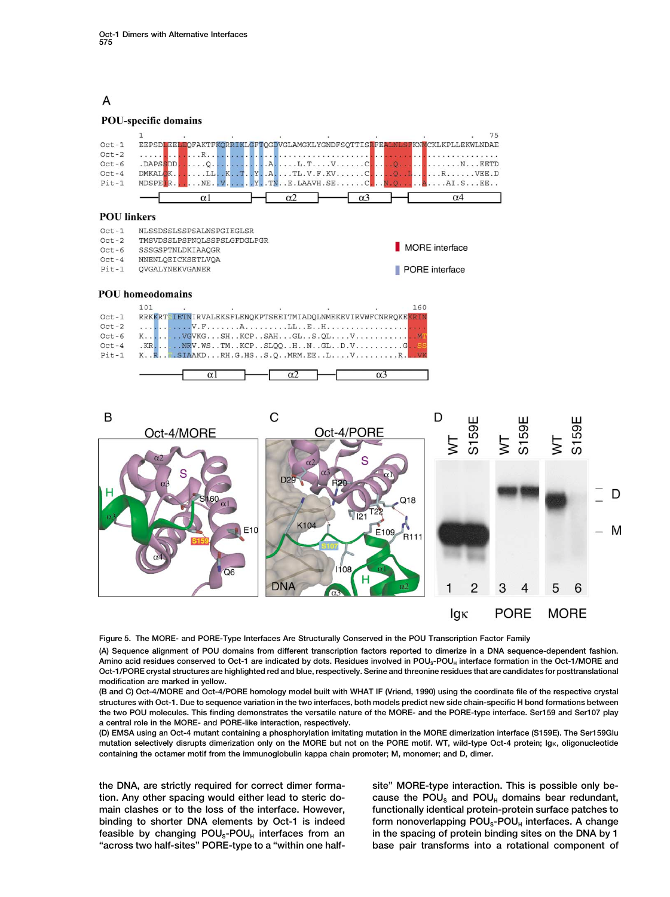## A

## **POU-specific domains**



| $Oct-1$ |  | RRKKRTSIETNIRVALEKSFLENOKPTSEEITMIADOLNMEKEVIRVWFCNRROKEKRIN |
|---------|--|--------------------------------------------------------------|
| $Oct-2$ |  |                                                              |
| $Oct-6$ |  |                                                              |
| $Oct-4$ |  | $KR$ $NRV$ .WSTM $KCP$ SLOOH $N$ GLD.VG. SS                  |
| $Pit-1$ |  | K. R., T. SIAAKD RH. G. HS S.O MRM. EE L V R.                |
|         |  |                                                              |

 $\alpha$ <sup>2</sup>

 $\alpha$ 



 $\alpha$ <sup>3</sup>

**Figure 5. The MORE- and PORE-Type Interfaces Are Structurally Conserved in the POU Transcription Factor Family**

**(A) Sequence alignment of POU domains from different transcription factors reported to dimerize in a DNA sequence-dependent fashion.** Amino acid residues conserved to Oct-1 are indicated by dots. Residues involved in POU<sub>S</sub>-POU<sub>H</sub> interface formation in the Oct-1/MORE and **Oct-1/PORE crystal structures are highlighted red and blue, respectively. Serine and threonine residues that are candidates for posttranslational modification are marked in yellow.**

**(B and C) Oct-4/MORE and Oct-4/PORE homology model built with WHAT IF (Vriend, 1990) using the coordinate file of the respective crystal structures with Oct-1. Due to sequence variation in the two interfaces, both models predict new side chain-specific H bond formations between the two POU molecules. This finding demonstrates the versatile nature of the MORE- and the PORE-type interface. Ser159 and Ser107 play a central role in the MORE- and PORE-like interaction, respectively.**

**(D) EMSA using an Oct-4 mutant containing a phosphorylation imitating mutation in the MORE dimerization interface (S159E). The Ser159Glu mutation selectively disrupts dimerization only on the MORE but not on the PORE motif. WT, wild-type Oct-4 protein; Ig, oligonucleotide containing the octamer motif from the immunoglobulin kappa chain promoter; M, monomer; and D, dimer.**

**the DNA, are strictly required for correct dimer forma- site" MORE-type interaction. This is possible only be**tion. Any other spacing would either lead to steric do-<br> **cause the POU<sub>S</sub>** and POU<sub>H</sub> domains bear redundant, **main clashes or to the loss of the interface. However, functionally identical protein-protein surface patches to binding to shorter DNA elements by Oct-1 is indeed form nonoverlapping POU<sub>S</sub>-POU<sub>H</sub> interfaces. A change** feasible by changing POU<sub>s</sub>-POU<sub>H</sub> interfaces from an in the spacing of protein binding sites on the DNA by 1 **"across two half-sites" PORE-type to a "within one half- base pair transforms into a rotational component of**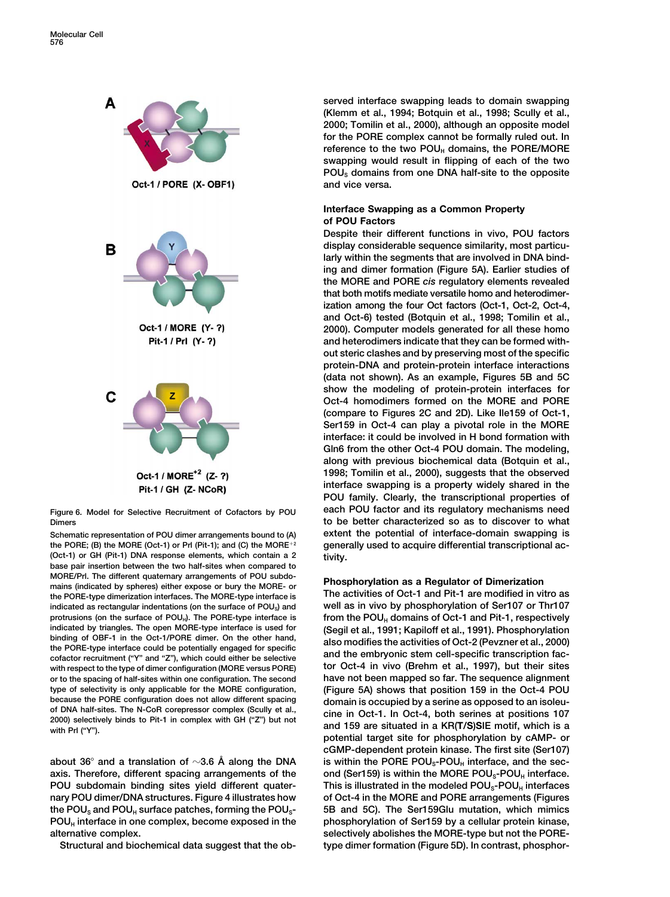

the PORE; (B) the MORE (Oct-1) or Prl (Pit-1); and (C) the MORE<sup>+2</sup> **(Oct-1) or GH (Pit-1) DNA response elements, which contain a 2 tivity. base pair insertion between the two half-sites when compared to** MORE/Prl. The different quaternary arrangements of POU subdo-<br>
mains (indicated by spheres) either expose or bury the MORE- or<br> **Phosphorylation as a Regulator of Dimerization**<br> **The activities of Oct-1 and Pit-1 are modif** the PORE-type dimerization interfaces. The MORE-type interface is **indicated as rectangular indentations (on the surface of POUS) and well as in vivo by phosphorylation of Ser107 or Thr107** protrusions (on the surface of POU<sub>H</sub>). The PORE-type interface is **from the POU<sub>H</sub>** domains of Oct-1 and Pit-1, respectively indicated by triangles. The open MORE-type interface is used for **Secil et al., 1991: Kapiloff e** indicated by triangles. The open MORE-type interface is used for<br>binding of OBF-1 in the Oct-1/PORE dimer. On the other hand,<br>the PORE-type interface could be potentially engaged for specific<br>cofactor recruitment ("Y" and **with respect to the type of dimer configuration (MORE versus PORE) tor Oct-4 in vivo (Brehm et al., 1997), but their sites or to the spacing of half-sites within one configuration. The second have not been mapped so far. The sequence alignment type of selectivity is only applicable for the MORE configuration, (Figure 5A) shows that position 159 in the Oct-4 POU** because the PORE configuration does not allow different spacing<br>of DNA half-sites. The N-CoR corepressor complex (Scully et al.,<br>2000) selectively binds to Pit-1 in complex with GH ("Z") but not<br>with Prl ("Y").<br>with Prl ("

**about 36**  $\degree$  and a translation of  $\sim$ 3.6 Å along the DNA is within the PORE POU<sub>S</sub>-POU<sub>H</sub> interface, and the secaxis. Therefore, different spacing arrangements of the ond (Ser159) is within the MORE POU<sub>S</sub>-POU<sub>H</sub> interface. **POU** subdomain binding sites yield different quater-<br> **This is illustrated in the modeled POU<sub>S</sub>-POU<sub>H</sub> interfaces nary POU dimer/DNA structures. Figure 4 illustrates how of Oct-4 in the MORE and PORE arrangements (Figures the POUS and POUH surface patches, forming the POUS- 5B and 5C). The Ser159Glu mutation, which mimics POUH interface in one complex, become exposed in the phosphorylation of Ser159 by a cellular protein kinase, alternative complex. selectively abolishes the MORE-type but not the PORE-**

**Structural and biochemical data suggest that the ob- type dimer formation (Figure 5D). In contrast, phosphor-**

**served interface swapping leads to domain swapping (Klemm et al., 1994; Botquin et al., 1998; Scully et al., 2000; Tomilin et al., 2000), although an opposite model for the PORE complex cannot be formally ruled out. In** reference to the two POU<sub>H</sub> domains, the PORE/MORE **swapping would result in flipping of each of the two POUS domains from one DNA half-site to the opposite and vice versa.**

## **Interface Swapping as a Common Property of POU Factors**

**Despite their different functions in vivo, POU factors display considerable sequence similarity, most particularly within the segments that are involved in DNA binding and dimer formation (Figure 5A). Earlier studies of the MORE and PORE** *cis* **regulatory elements revealed that both motifs mediate versatile homo and heterodimerization among the four Oct factors (Oct-1, Oct-2, Oct-4, and Oct-6) tested (Botquin et al., 1998; Tomilin et al., 2000). Computer models generated for all these homo and heterodimers indicate that they can be formed without steric clashes and by preserving most of the specific protein-DNA and protein-protein interface interactions (data not shown). As an example, Figures 5B and 5C show the modeling of protein-protein interfaces for Oct-4 homodimers formed on the MORE and PORE (compare to Figures 2C and 2D). Like Ile159 of Oct-1, Ser159 in Oct-4 can play a pivotal role in the MORE interface: it could be involved in H bond formation with Gln6 from the other Oct-4 POU domain. The modeling, along with previous biochemical data (Botquin et al., 1998; Tomilin et al., 2000), suggests that the observed interface swapping is a property widely shared in the POU family. Clearly, the transcriptional properties of Figure 6. Model for Selective Recruitment of Cofactors by POU each POU factor and its regulatory mechanisms need Dimers to be better characterized so as to discover to what** Schematic representation of POU dimer arrangements bound to (A) extent the potential of interface-domain swapping is<br>the PORE; (B) the MORE (Oct-1) or Prl (Pit-1); and (C) the MORE<sup>+2</sup> generally used to acquire differentia

**potential target site for phosphorylation by cAMP- or cGMP-dependent protein kinase. The first site (Ser107)**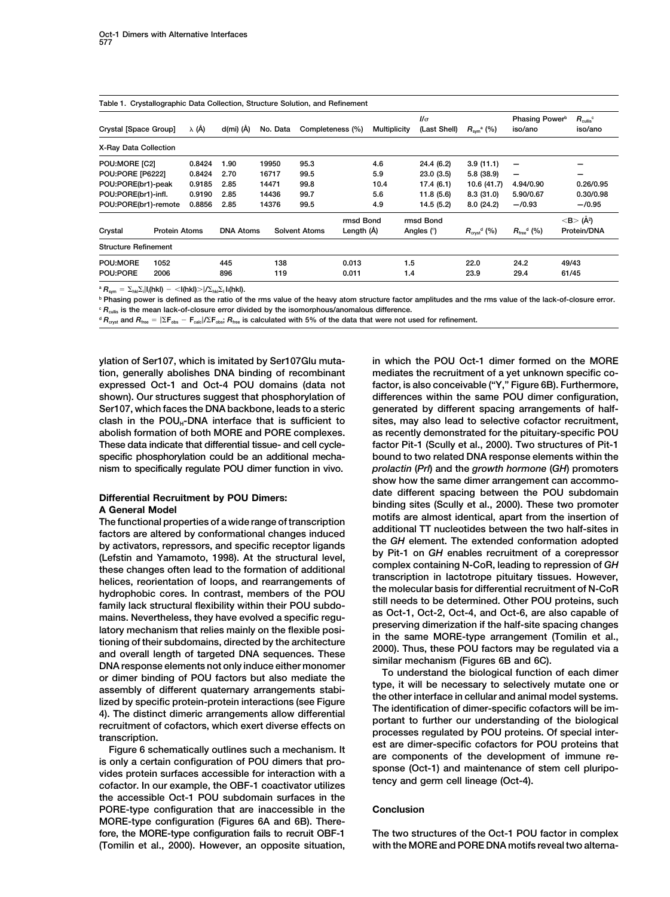| Table 1. Crystallographic Data Collection, Structure Solution, and Refinement |                                              |          |      |                      |                                            |                         |                                                         |                                  |                                           |  |  |  |
|-------------------------------------------------------------------------------|----------------------------------------------|----------|------|----------------------|--------------------------------------------|-------------------------|---------------------------------------------------------|----------------------------------|-------------------------------------------|--|--|--|
| λ (Å)                                                                         | d(mi) (Å)                                    | No. Data |      |                      | $\mathcal{U}\sigma$<br><b>Multiplicity</b> |                         | $R_{\text{sym}}^{\text{a}}$ (%)                         | iso/ano                          | $R_{\text{cullis}}^{\text{c}}$<br>iso/ano |  |  |  |
|                                                                               |                                              |          |      |                      |                                            |                         |                                                         |                                  |                                           |  |  |  |
| 0.8424                                                                        | 1.90                                         | 19950    | 95.3 |                      | 4.6                                        | 24.4 (6.2)              | 3.9(11.1)                                               | -                                |                                           |  |  |  |
| 0.8424                                                                        | 2.70                                         | 16717    | 99.5 |                      | 5.9                                        | 23.0(3.5)               | 5.8(38.9)                                               | -                                | -                                         |  |  |  |
| 0.9185                                                                        | 2.85                                         | 14471    | 99.8 |                      | 10.4                                       | 17.4(6.1)               | 10.6 (41.7)                                             | 4.94/0.90                        | 0.26/0.95                                 |  |  |  |
| 0.9190                                                                        | 2.85                                         | 14436    | 99.7 |                      | 5.6                                        | 11.8(5.6)               | 8.3(31.0)                                               | 5.90/0.67                        | 0.30/0.98                                 |  |  |  |
| 0.8856                                                                        | 2.85                                         | 14376    | 99.5 |                      | 4.9                                        | 14.5 (5.2)              | 8.0(24.2)                                               | $-70.93$                         | $-70.95$                                  |  |  |  |
|                                                                               |                                              |          |      |                      |                                            |                         |                                                         |                                  | $<$ B $>$ (Å <sup>2</sup> )               |  |  |  |
|                                                                               | <b>DNA Atoms</b>                             |          |      |                      |                                            |                         | $R_{\text{cvst}}^{\text{d}}$ (%)                        | $R_{\text{free}}^{\text{d}}$ (%) | Protein/DNA                               |  |  |  |
|                                                                               |                                              |          |      |                      |                                            |                         |                                                         |                                  |                                           |  |  |  |
|                                                                               | 445                                          | 138      |      | 0.013                |                                            |                         | 22.0                                                    | 24.2                             | 49/43                                     |  |  |  |
|                                                                               | 896                                          | 119      |      | 0.011                |                                            |                         | 23.9                                                    | 29.4                             | 61/45                                     |  |  |  |
|                                                                               | POU:PORE(br1)-remote<br><b>Protein Atoms</b> |          |      | <b>Solvent Atoms</b> | Completeness (%)                           | rmsd Bond<br>Length (Å) | (Last Shell)<br>rmsd Bond<br>Angles $(°)$<br>1.5<br>1.4 |                                  | Phasing Power <sup>b</sup>                |  |  |  |

 ${}^{\mathsf{a}}$   $R_{\mathsf{sym}} = \sum_{\mathsf{hkl}} \sum_i |I_i(\mathsf{hkl}) - \langle I(\mathsf{hkl}) \rangle | \sum_{\mathsf{hkl}} \sum_i |I_i(\mathsf{hkl})|$ 

**<sup>b</sup> Phasing power is defined as the ratio of the rms value of the heavy atom structure factor amplitudes and the rms value of the lack-of-closure error. <sup>c</sup>** *R***cullis is the mean lack-of-closure error divided by the isomorphous/anomalous difference.**

 $d$   $R_{\text{cost}}$  and  $R_{\text{free}} = |\Sigma F_{\text{obs}} - F_{\text{calc}}|/\Sigma F_{\text{obs}}$ ;  $R_{\text{free}}$  is calculated with 5% of the data that were not used for refinement.

**ylation of Ser107, which is imitated by Ser107Glu muta- in which the POU Oct-1 dimer formed on the MORE tion, generally abolishes DNA binding of recombinant mediates the recruitment of a yet unknown specific coexpressed Oct-1 and Oct-4 POU domains (data not factor, is also conceivable ("Y," Figure 6B). Furthermore, shown). Our structures suggest that phosphorylation of differences within the same POU dimer configuration,** Ser107, which faces the DNA backbone, leads to a steric generated by different spacing arrangements of half**clash in the POUH-DNA interface that is sufficient to sites, may also lead to selective cofactor recruitment, abolish formation of both MORE and PORE complexes. as recently demonstrated for the pituitary-specific POU These data indicate that differential tissue- and cell cycle- factor Pit-1 (Scully et al., 2000). Two structures of Pit-1 specific phosphorylation could be an additional mecha- bound to two related DNA response elements within the nism to specifically regulate POU dimer function in vivo.** *prolactin* **(***Prl***) and the** *growth hormone* **(***GH***) promoters**

Differential Recruitment by POU Dimers:<br>
Siate different spacing between the POU subomain<br>
A General Model strange of transcription<br>
moling sites (Scully et al., 2000). These two promoter<br>
The functional properties of a wi

**the accessible Oct-1 POU subdomain surfaces in the PORE-type configuration that are inaccessible in the Conclusion MORE-type configuration (Figures 6A and 6B). There-(Tomilin et al., 2000). However, an opposite situation, with the MORE and PORE DNA motifs reveal two alterna-**

**show how the same dimer arrangement can accommo-**

**fore, the MORE-type configuration fails to recruit OBF-1 The two structures of the Oct-1 POU factor in complex**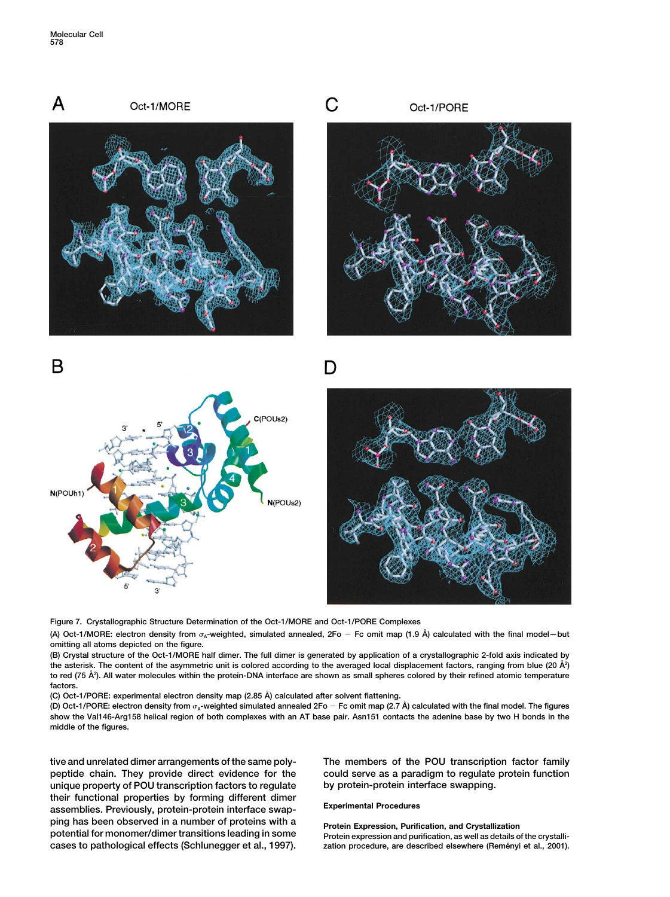

**Figure 7. Crystallographic Structure Determination of the Oct-1/MORE and Oct-1/PORE Complexes**

**(A) Oct-1/MORE: electron density from A-weighted, simulated annealed, 2Fo Fc omit map (1.9 A˚ ) calculated with the final model—but omitting all atoms depicted on the figure.**

**(B) Crystal structure of the Oct-1/MORE half dimer. The full dimer is generated by application of a crystallographic 2-fold axis indicated by** the asterisk. The content of the asymmetric unit is colored according to the averaged local displacement factors, ranging from blue (20 Å<sup>2</sup>) **to red (75 A˚ <sup>2</sup> ). All water molecules within the protein-DNA interface are shown as small spheres colored by their refined atomic temperature factors.**

**(C) Oct-1/PORE: experimental electron density map (2.85 A˚ ) calculated after solvent flattening.**

**(D) Oct-1/PORE: electron density from A-weighted simulated annealed 2Fo Fc omit map (2.7 A˚ ) calculated with the final model. The figures show the Val146-Arg158 helical region of both complexes with an AT base pair. Asn151 contacts the adenine base by two H bonds in the middle of the figures.**

**tive and unrelated dimer arrangements of the same poly- The members of the POU transcription factor family peptide chain. They provide direct evidence for the could serve as a paradigm to regulate protein function unique property of POU transcription factors to regulate by protein-protein interface swapping. their functional properties by forming different dimer Experimental Procedures assemblies. Previously, protein-protein interface swap**ping has been observed in a number of proteins with a<br>potential for monomer/dimer transitions leading in some<br>cases to pathological effects (Schlunegger et al., 1997). <br>zation procedure, are described elsewhere (Reményi et cases to pathological effects (Schlunegger et al., 1997).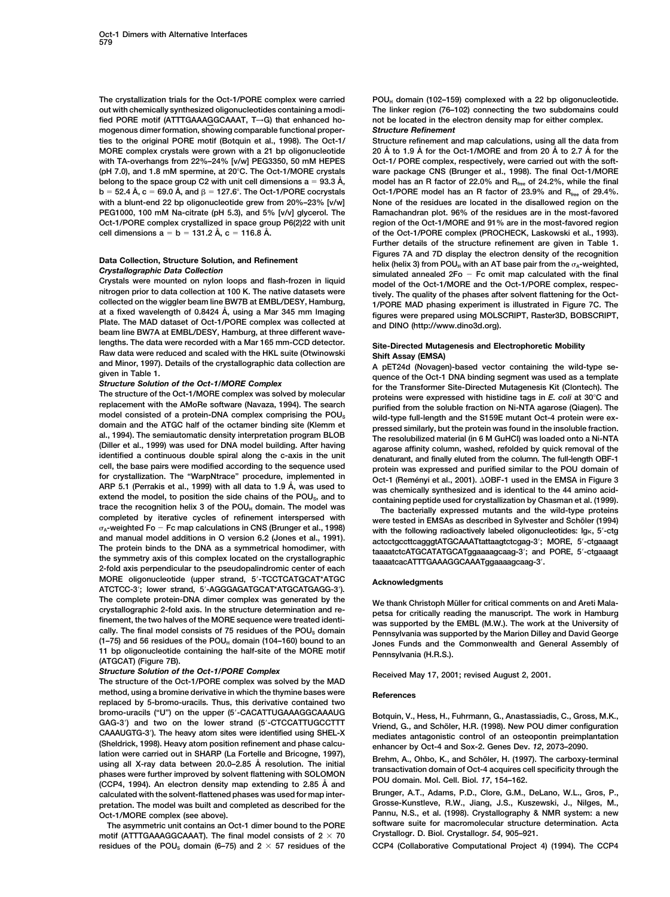**out with chemically synthesized oligonucleotides containing a modi- The linker region (76–102) connecting the two subdomains could** fied PORE motif (ATTTGAAAGGCAAAT, T→G) that enhanced ho- not be located in the enhanced ho-<br>mogenous dimer formation, showing comparable functional proper-<br>**Structure Refinement** mogenous dimer formation, showing comparable functional proper**ties to the original PORE motif (Botquin et al., 1998). The Oct-1/ Structure refinement and map calculations, using all the data from 20 A˚ to 1.9 A˚ for the Oct-1/MORE and from 20 A˚ to 2.7 A˚ MORE complex crystals were grown with a 21 bp oligonucleotide for the** with TA-overhangs from 22%-24% [v/w] PEG3350, 50 mM HEPES oct-1/ PORE complex, respectively, were carried out with the soft-**(pH 7.0), and 1.8 mM spermine, at 20C. The Oct-1/MORE crystals ware package CNS (Brunger et al., 1998). The final Oct-1/MORE belong to the space group C2 with unit cell dimensions a 93.3 A˚ , model has an R factor of 22.0% and Rfree of 24.2%, while the final**  $b = 52.4 \text{ Å}$ ,  $c = 69.0 \text{ Å}$ , and  $\beta = 127.6^{\circ}$ . The Oct-1/PORE cocrystals Oct-1/PORE model has an R factor of 23.9% and R<sub>free</sub> of 29.4%. **with a blunt-end 22 bp oligonucleotide grew from 20%–23% [v/w] None of the residues are located in the disallowed region on the PEG1000, 100 mM Na-citrate (pH 5.3), and 5% [v/v] glycerol. The Ramachandran plot. 96% of the residues are in the most-favored Oct-1/PORE complex crystallized in space group P6(2)22 with unit region of the Oct-1/MORE and 91% are in the most-favored region**

replacement with the AMoRe software (Navaza, 1994). The search<br>
model constant of a protein-DNA complex comprising the POU<sub>s</sub><br>
model build-type full-length and the S159E mutant Oct-4 protein were ex-<br>
alomain and the ATGC o<sub>x</sub>-weighted Fo – Fc map calculations in Civa (Brunger et al., 1996) with the following radioactively labeled oligonucleotides: Igk, 5'-ctg<br>and manual model additions in O version 6.2 (Jones et al., 1991). actcctgccttcagg and manual model additions in O version 6.2 (Jones et al., 1991).<br>The protein binds to the DNA as a symmetrical homodimer, with taaaatctcATGCATATGCATggaaaagcaag-3<sup>-</sup>; and PORE, 5'-ctgaaagt The protein binds to the DNA as a symmetrical homodimer, with<br>the symmetry axis of this complex located on the crystallographic<br>taaaatcacATTTGAAAGGCAAATggaaaagcaag-3'. **. 2-fold axis perpendicular to the pseudopalindromic center of each MORE oligonucleotide (upper strand, 5**-**-TCCTCATGCAT\*ATGC Acknowledgments ATCTCC-3**-**; lower strand, 5**-**-AGGGAGATGCAT\*ATGCATGAGG-3**-**).** The complete protein-DNA dimer complex was generated by the We thank Christoph Müller for critical comments on and Areti Mala-<br>
crystallographic 2-fold axis. In the structure determination and re-<br> **notes for critically re** crystallographic 2-fold axis. In the structure determination and re-<br>finement, the two halves of the MORE sequence were treated identi-<br>cally. The final model consists of 75 residues of the POU<sub>s</sub> domain<br>(1-75) and 56 resi

**Structure Solution of the Oct-1/PORE Complex Received May 17, 2001; revised August 2, 2001.** The structure of the Oct-1/PORE complex was solved by the MAD method, using a bromine derivative in which the thymine bases were **References replaced by 5-bromo-uracils. Thus, this derivative contained two bromo-uracils ("U") on the upper (5**-GAG-3') and two on the lower strand (5'-CTCCATTUGCCTTT LAG-3) and two on the lower strand to CTCCATTUGCCTTT Vriend, G., and Scholer, H.R. (1998). New POU dimer configuration<br>CAAAUGTG-3<sup>'</sup>). The heavy atom sites were identified using SHEL-X mediates antagonistic control of an o CAAAUGTG-3'). The heavy atom sites were identified using SHEL-X mediates antagonistic control of an osteopontin preimplantation<br>
(Sheldrick, 1998). Heavy atom position refinement and phase calcument and phase calcument and **Brunger, A.T., Adams, P.D., Clore, G.M., DeLano, W.L., Gros, P., calculated with the solvent-flattened phases was used for map interpretation. The model was built and completed as described for the Grosse-Kunstleve, R.W., Jiang, J.S., Kuszewski, J., Nilges, M.,**

**motif (ATTTGAAAGGCAAAT). The final model consists of 2**  $\times$  **70 residues of the POUS domain (6–75) and 2 57 residues of the CCP4 (Collaborative Computational Project 4) (1994). The CCP4**

The crystallization trials for the Oct-1/PORE complex were carried POU<sub>H</sub> domain (102–159) complexed with a 22 bp oligonucleotide.

cell dimensions  $a = b = 131.2 \text{ Å}$ ,  $c = 116.8 \text{ Å}$ .  $\bullet$  **of the Oct-1/PORE complex (PROCHECK, Laskowski et al., 1993). Further details of the structure refinement are given in Table 1.** Data Collection, Structure Solution, and Refinement<br>
Crystallographic Data Collection<br>
Crystals were mounted on nylon loops and flash-frozen in liquid<br>
mitrogen prior to data collection at 100 K. The native datasets were<br>

lengths. The data were recorded with a Mar 165 mm-CCD detector.<br>
Raw data were reduced and scaled with the HKL suite (Otwinowski<br>
and Minor, 1997). Details of the crystallographic data collection are<br>
given in Table 1.<br>
St

Botquin, V., Hess, H., Fuhrmann, G., Anastassiadis, C., Gross, M.K.,

**Oct-1/MORE complex (see above). Pannu, N.S., et al. (1998). Crystallography & NMR system: a new The asymmetric unit contains an Oct-1 dimer bound to the PORE software suite for macromolecular structure determination. Acta**